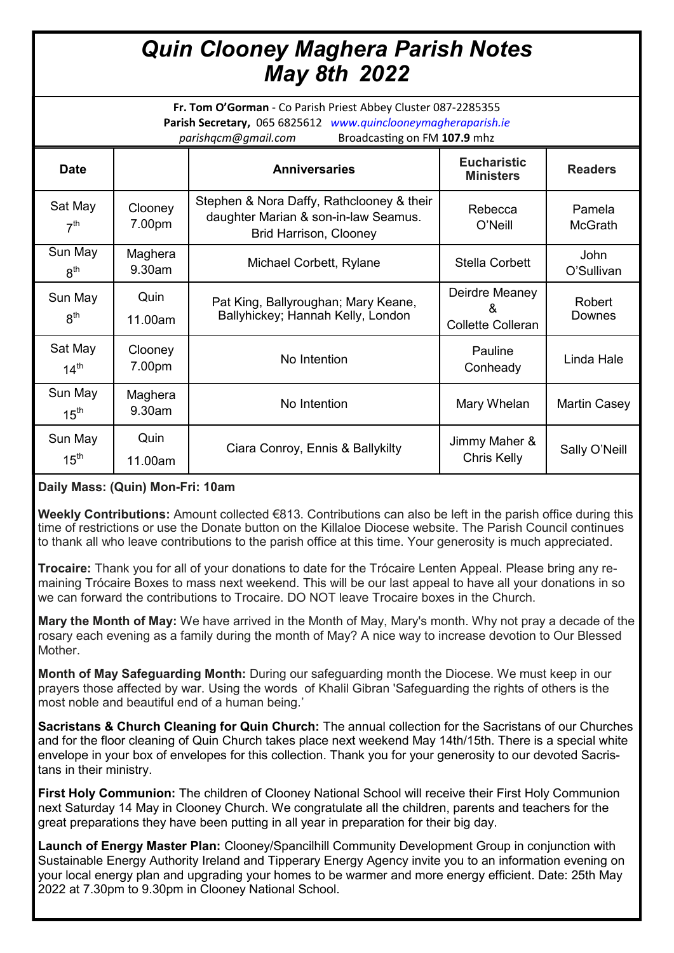## *Quin Clooney Maghera Parish Notes May 8th 2022*

**Fr. Tom O'Gorman** - Co Parish Priest Abbey Cluster 087-2285355 **Parish Secretary,** 065 6825612 *www.quinclooneymagheraparish.ie parishqcm@gmail.com* Broadcasting on FM **107.9** mhz

| <b>Date</b>                 |                   | <b>Anniversaries</b>                                                                                               | <b>Eucharistic</b><br><b>Ministers</b>    | <b>Readers</b>      |
|-----------------------------|-------------------|--------------------------------------------------------------------------------------------------------------------|-------------------------------------------|---------------------|
| Sat May<br>7 <sup>th</sup>  | Clooney<br>7.00pm | Stephen & Nora Daffy, Rathclooney & their<br>daughter Marian & son-in-law Seamus.<br><b>Brid Harrison, Clooney</b> | Rebecca<br>O'Neill                        | Pamela<br>McGrath   |
| Sun May<br>8 <sup>th</sup>  | Maghera<br>9.30am | Michael Corbett, Rylane                                                                                            | Stella Corbett                            | John<br>O'Sullivan  |
| Sun May<br>8 <sup>th</sup>  | Quin<br>11.00am   | Pat King, Ballyroughan; Mary Keane,<br>Ballyhickey; Hannah Kelly, London                                           | Deirdre Meaney<br>୍ୟ<br>Collette Colleran | Robert<br>Downes    |
| Sat May<br>14 <sup>th</sup> | Clooney<br>7.00pm | No Intention                                                                                                       | Pauline<br>Conheady                       | Linda Hale          |
| Sun May<br>15 <sup>th</sup> | Maghera<br>9.30am | No Intention                                                                                                       | Mary Whelan                               | <b>Martin Casey</b> |
| Sun May<br>$15^{\text{th}}$ | Quin<br>11.00am   | Ciara Conroy, Ennis & Ballykilty                                                                                   | Jimmy Maher &<br>Chris Kelly              | Sally O'Neill       |

## **Daily Mass: (Quin) Mon-Fri: 10am**

**Weekly Contributions:** Amount collected €813. Contributions can also be left in the parish office during this time of restrictions or use the Donate button on the Killaloe Diocese website. The Parish Council continues to thank all who leave contributions to the parish office at this time. Your generosity is much appreciated.

**Trocaire:** Thank you for all of your donations to date for the Trócaire Lenten Appeal. Please bring any remaining Trócaire Boxes to mass next weekend. This will be our last appeal to have all your donations in so we can forward the contributions to Trocaire. DO NOT leave Trocaire boxes in the Church.

**Mary the Month of May:** We have arrived in the Month of May, Mary's month. Why not pray a decade of the rosary each evening as a family during the month of May? A nice way to increase devotion to Our Blessed Mother.

**Month of May Safeguarding Month:** During our safeguarding month the Diocese. We must keep in our prayers those affected by war. Using the words of Khalil Gibran 'Safeguarding the rights of others is the most noble and beautiful end of a human being.'

**Sacristans & Church Cleaning for Quin Church:** The annual collection for the Sacristans of our Churches and for the floor cleaning of Quin Church takes place next weekend May 14th/15th. There is a special white envelope in your box of envelopes for this collection. Thank you for your generosity to our devoted Sacristans in their ministry.

**First Holy Communion:** The children of Clooney National School will receive their First Holy Communion next Saturday 14 May in Clooney Church. We congratulate all the children, parents and teachers for the great preparations they have been putting in all year in preparation for their big day.

**Launch of Energy Master Plan:** Clooney/Spancilhill Community Development Group in conjunction with Sustainable Energy Authority Ireland and Tipperary Energy Agency invite you to an information evening on your local energy plan and upgrading your homes to be warmer and more energy efficient. Date: 25th May 2022 at 7.30pm to 9.30pm in Clooney National School.